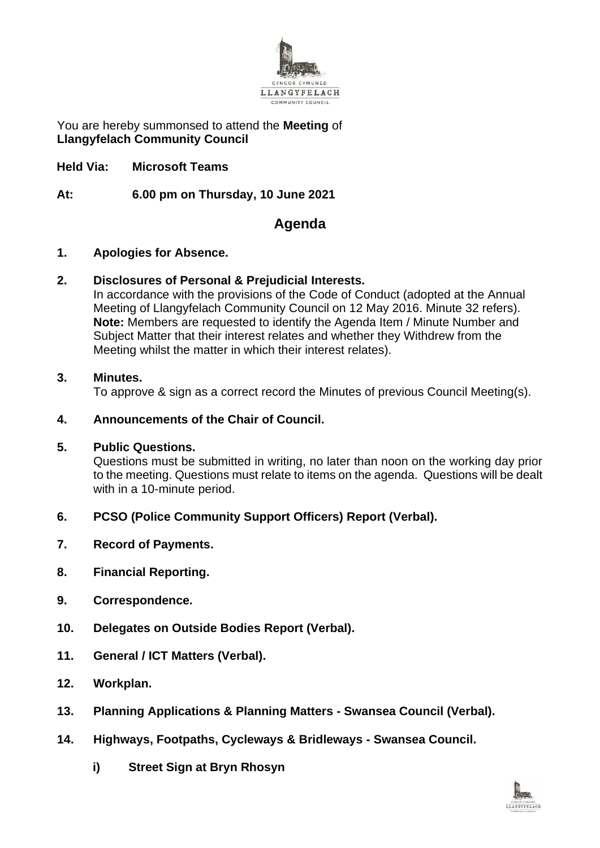

You are hereby summonsed to attend the **Meeting** of **Llangyfelach Community Council**

**Held Via: Microsoft Teams**

**At: 6.00 pm on Thursday, 10 June 2021**

# **Agenda**

#### **1. Apologies for Absence.**

# **2. Disclosures of Personal & Prejudicial Interests.**

In accordance with the provisions of the Code of Conduct (adopted at the Annual Meeting of Llangyfelach Community Council on 12 May 2016. Minute 32 refers). **Note:** Members are requested to identify the Agenda Item / Minute Number and Subject Matter that their interest relates and whether they Withdrew from the Meeting whilst the matter in which their interest relates).

#### **3. Minutes.**

To approve & sign as a correct record the Minutes of previous Council Meeting(s).

### **4. Announcements of the Chair of Council.**

#### **5. Public Questions.**

Questions must be submitted in writing, no later than noon on the working day prior to the meeting. Questions must relate to items on the agenda. Questions will be dealt with in a 10-minute period.

# **6. PCSO (Police Community Support Officers) Report (Verbal).**

- **7. Record of Payments.**
- **8. Financial Reporting.**
- **9. Correspondence.**
- **10. Delegates on Outside Bodies Report (Verbal).**
- **11. General / ICT Matters (Verbal).**
- **12. Workplan.**
- **13. Planning Applications & Planning Matters - Swansea Council (Verbal).**
- **14. Highways, Footpaths, Cycleways & Bridleways - Swansea Council.**
	- **i) Street Sign at Bryn Rhosyn**